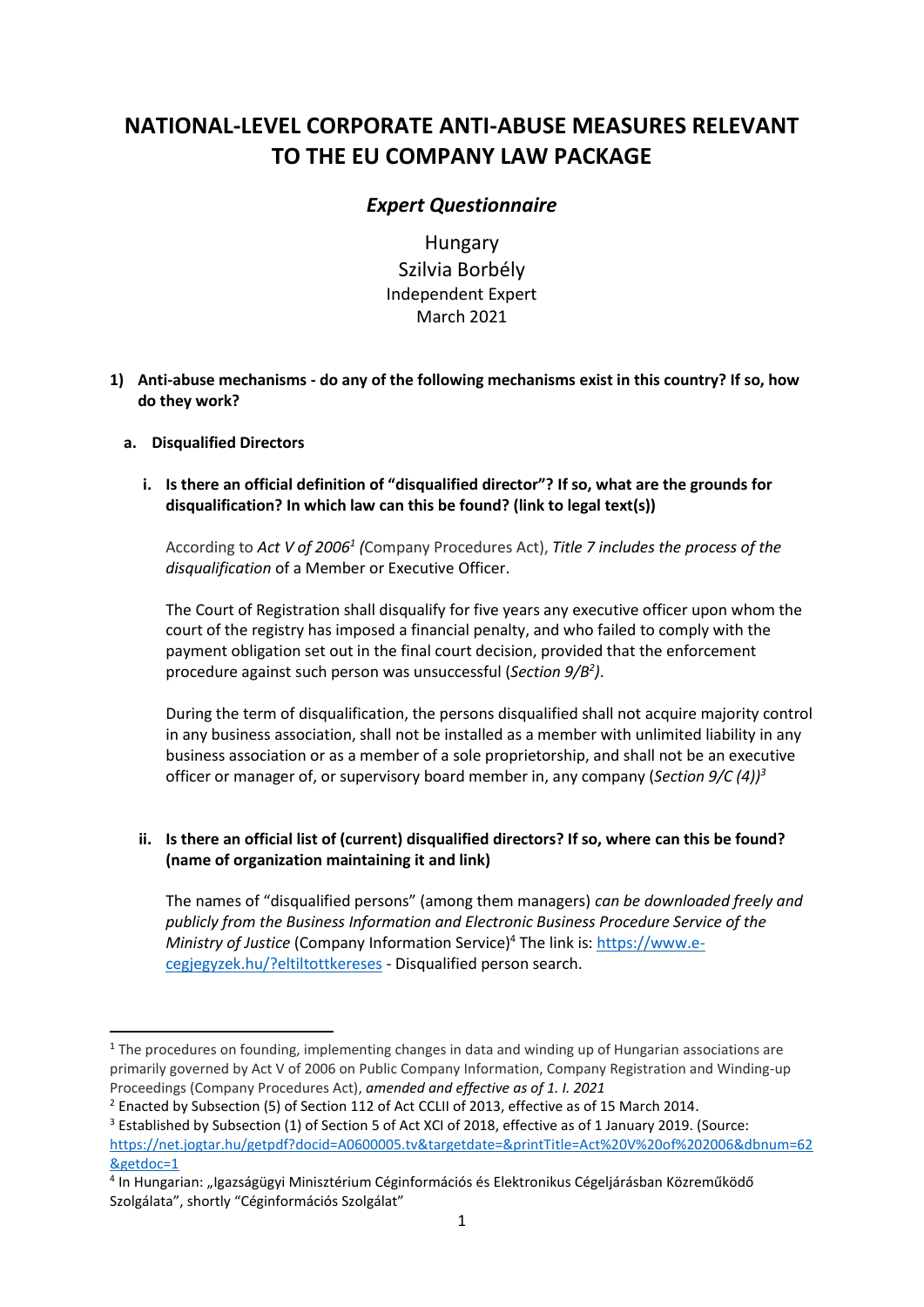# **NATIONAL-LEVEL CORPORATE ANTI-ABUSE MEASURES RELEVANT TO THE EU COMPANY LAW PACKAGE**

# *Expert Questionnaire*

Hungary Szilvia Borbély Independent Expert March 2021

**1) Anti-abuse mechanisms - do any of the following mechanisms exist in this country? If so, how do they work?**

# **a. Disqualified Directors**

**i. Is there an official definition of "disqualified director"? If so, what are the grounds for disqualification? In which law can this be found? (link to legal text(s))** 

According to *Act V of 2006<sup>1</sup> (*Company Procedures Act), *Title 7 includes the process of the disqualification* of a Member or Executive Officer.

The Court of Registration shall disqualify for five years any executive officer upon whom the court of the registry has imposed a financial penalty, and who failed to comply with the payment obligation set out in the final court decision, provided that the enforcement procedure against such person was unsuccessful (*Section 9/B<sup>2</sup> )*.

During the term of disqualification, the persons disqualified shall not acquire majority control in any business association, shall not be installed as a member with unlimited liability in any business association or as a member of a sole proprietorship, and shall not be an executive officer or manager of, or supervisory board member in, any company (*Section 9/C (4))<sup>3</sup>*

# **ii. Is there an official list of (current) disqualified directors? If so, where can this be found? (name of organization maintaining it and link)**

The names of "disqualified persons" (among them managers) *can be downloaded freely and publicly from the Business Information and Electronic Business Procedure Service of the Ministry of Justice* (Company Information Service)<sup>4</sup> The link is[: https://www.e](https://www.e-cegjegyzek.hu/?eltiltottkereses)[cegjegyzek.hu/?eltiltottkereses](https://www.e-cegjegyzek.hu/?eltiltottkereses) - Disqualified person search.

 $1$  The procedures on founding, implementing changes in data and winding up of Hungarian associations are primarily governed by Act V of 2006 on Public Company Information, Company Registration and Winding-up Proceedings (Company Procedures Act), *amended and effective as of 1. I. 2021*

 $2$  Enacted by Subsection (5) of Section 112 of Act CCLII of 2013, effective as of 15 March 2014.

<sup>&</sup>lt;sup>3</sup> Established by Subsection (1) of Section 5 of Act XCI of 2018, effective as of 1 January 2019. (Source: [https://net.jogtar.hu/getpdf?docid=A0600005.tv&targetdate=&printTitle=Act%20V%20of%202006&dbnum=62](https://net.jogtar.hu/getpdf?docid=A0600005.tv&targetdate=&printTitle=Act%20V%20of%202006&dbnum=62&getdoc=1) [&getdoc=1](https://net.jogtar.hu/getpdf?docid=A0600005.tv&targetdate=&printTitle=Act%20V%20of%202006&dbnum=62&getdoc=1)

<sup>&</sup>lt;sup>4</sup> In Hungarian: "Igazságügyi Minisztérium Céginformációs és Elektronikus Cégeljárásban Közreműködő Szolgálata", shortly "Céginformációs Szolgálat"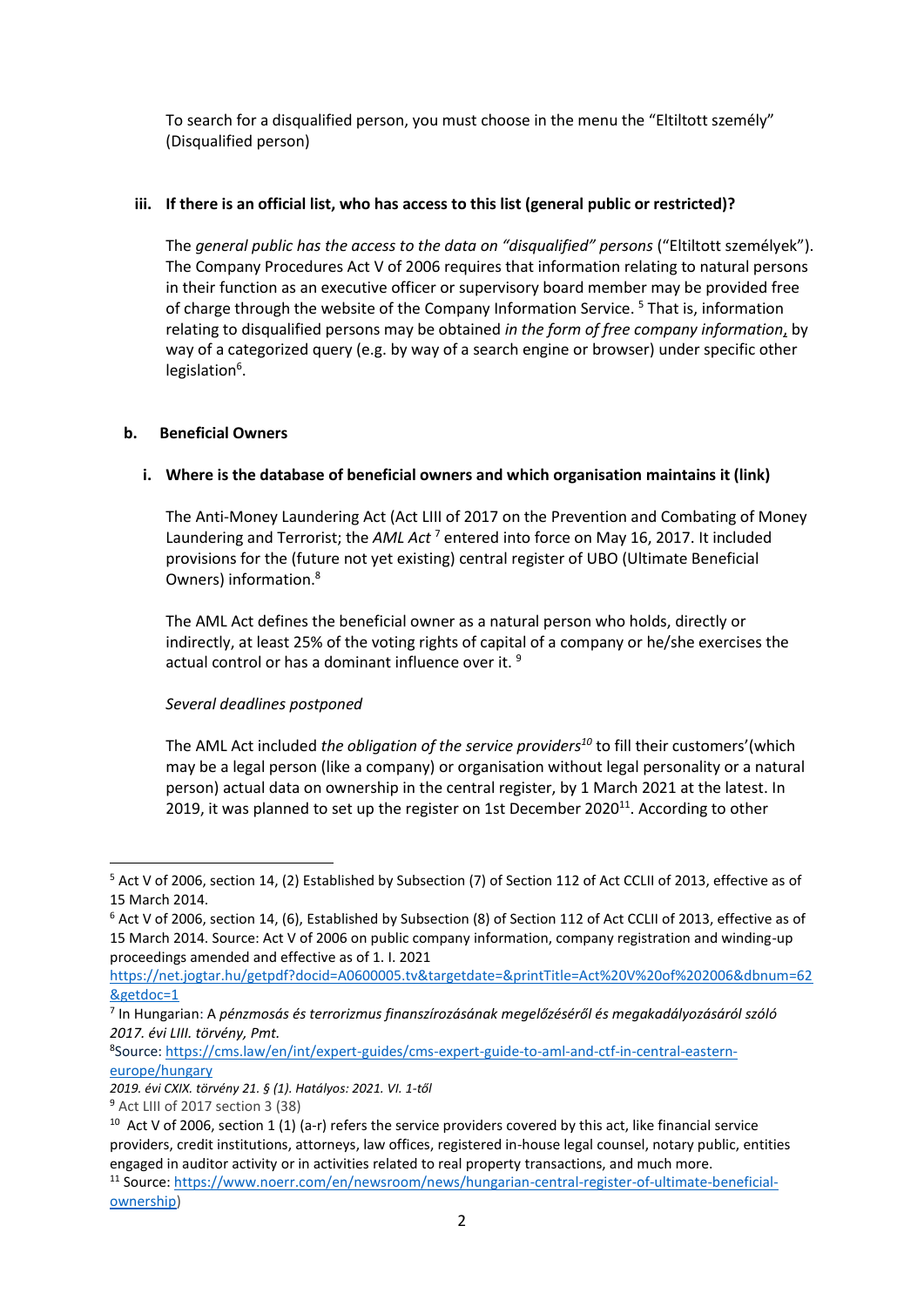To search for a disqualified person, you must choose in the menu the "Eltiltott személy" (Disqualified person)

# **iii. If there is an official list, who has access to this list (general public or restricted)?**

The *general public has the access to the data on "disqualified" persons* ("Eltiltott személyek"). The Company Procedures Act V of 2006 requires that information relating to natural persons in their function as an executive officer or supervisory board member may be provided free of charge through the website of the Company Information Service. <sup>5</sup> That is, information relating to disqualified persons may be obtained *in the form of free company information*, by way of a categorized query (e.g. by way of a search engine or browser) under specific other legislation<sup>6</sup>.

#### **b. Beneficial Owners**

# **i. Where is the database of beneficial owners and which organisation maintains it (link)**

The Anti-Money Laundering Act (Act LIII of 2017 on the Prevention and Combating of Money Laundering and Terrorist; the *AML Act* <sup>7</sup> entered into force on May 16, 2017. It included provisions for the (future not yet existing) central register of UBO (Ultimate Beneficial Owners) information.<sup>8</sup>

The AML Act defines the beneficial owner as a natural person who holds, directly or indirectly, at least 25% of the voting rights of capital of a company or he/she exercises the actual control or has a dominant influence over it. <sup>9</sup>

#### *Several deadlines postponed*

The AML Act included *the obligation of the service providers <sup>10</sup>* to fill their customers'(which may be a legal person (like a company) or organisation without legal personality or a natural person) actual data on ownership in the central register, by 1 March 2021 at the latest. In 2019, it was planned to set up the register on 1st December 2020 $^{11}$ . According to other

<sup>5</sup> Act V of 2006, section 14, (2) Established by Subsection (7) of Section 112 of Act CCLII of 2013, effective as of 15 March 2014.

 $6$  Act V of 2006, section 14, (6), Established by Subsection (8) of Section 112 of Act CCLII of 2013, effective as of 15 March 2014. Source: Act V of 2006 on public company information, company registration and winding-up proceedings amended and effective as of 1. I. 2021

[https://net.jogtar.hu/getpdf?docid=A0600005.tv&targetdate=&printTitle=Act%20V%20of%202006&dbnum=62](https://net.jogtar.hu/getpdf?docid=A0600005.tv&targetdate=&printTitle=Act%20V%20of%202006&dbnum=62&getdoc=1) [&getdoc=1](https://net.jogtar.hu/getpdf?docid=A0600005.tv&targetdate=&printTitle=Act%20V%20of%202006&dbnum=62&getdoc=1)

<sup>7</sup> In Hungarian: A *pénzmosás és terrorizmus finanszírozásának megelőzéséről és megakadályozásáról szóló 2017. évi LIII. törvény, Pmt.*

<sup>8</sup> Source: [https://cms.law/en/int/expert-guides/cms-expert-guide-to-aml-and-ctf-in-central-eastern](https://cms.law/en/int/expert-guides/cms-expert-guide-to-aml-and-ctf-in-central-eastern-europe/hungary)[europe/hungary](https://cms.law/en/int/expert-guides/cms-expert-guide-to-aml-and-ctf-in-central-eastern-europe/hungary)

*<sup>2019.</sup> évi CXIX. törvény 21. § (1). Hatályos: 2021. VI. 1-től*

<sup>9</sup> Act LIII of 2017 section 3 (38)

<sup>&</sup>lt;sup>10</sup> Act V of 2006, section 1 (1) (a-r) refers the service providers covered by this act, like financial service providers, credit institutions, attorneys, law offices, registered in-house legal counsel, notary public, entities engaged in auditor activity or in activities related to real property transactions, and much more.

<sup>11</sup> Source: [https://www.noerr.com/en/newsroom/news/hungarian-central-register-of-ultimate-beneficial](https://www.noerr.com/en/newsroom/news/hungarian-central-register-of-ultimate-beneficial-ownership)[ownership\)](https://www.noerr.com/en/newsroom/news/hungarian-central-register-of-ultimate-beneficial-ownership)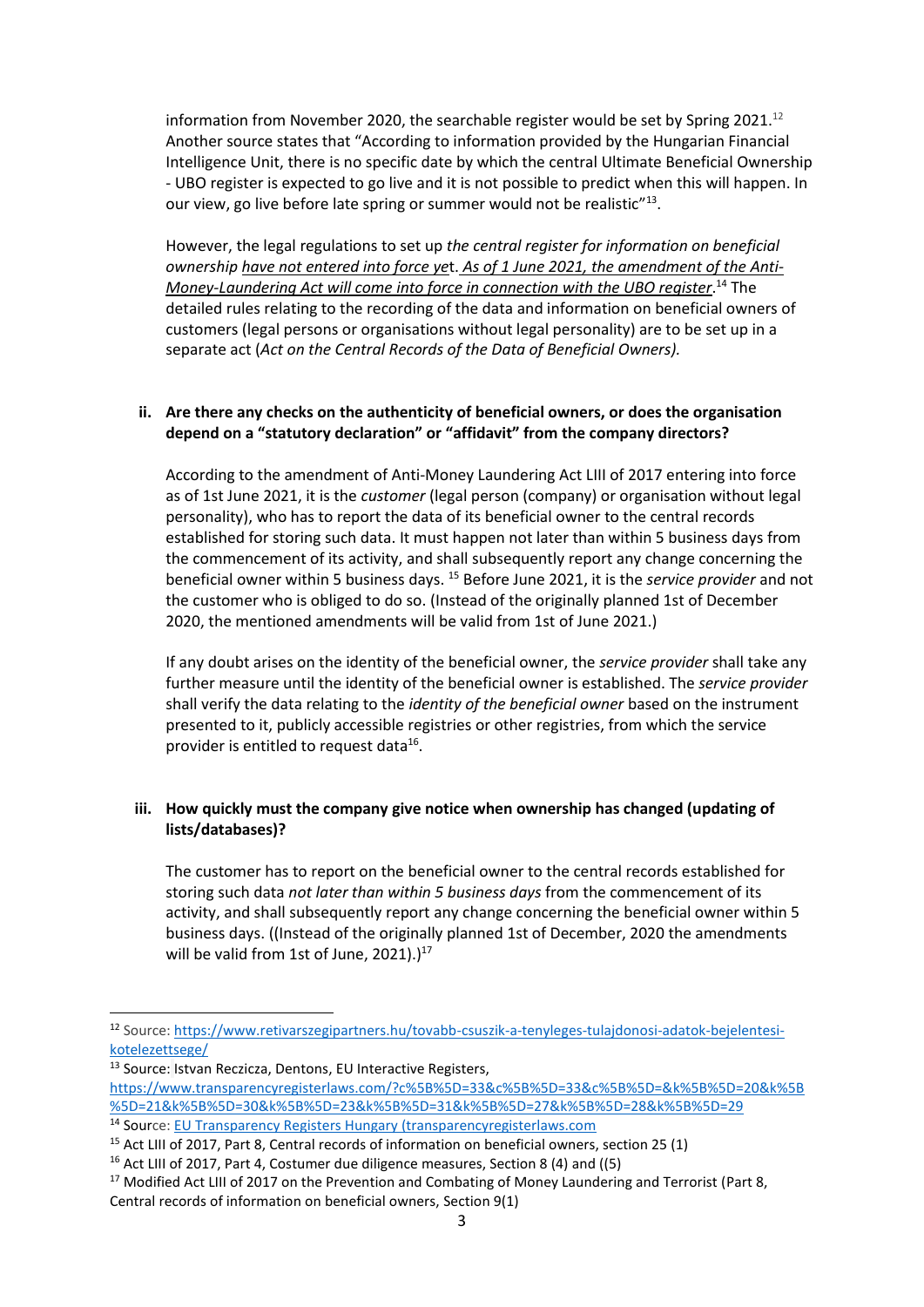information from November 2020, the searchable register would be set by Spring 2021.<sup>12</sup> Another source states that "According to information provided by the Hungarian Financial Intelligence Unit, there is no specific date by which the central Ultimate Beneficial Ownership - UBO register is expected to go live and it is not possible to predict when this will happen. In our view, go live before late spring or summer would not be realistic"<sup>13</sup>.

However, the legal regulations to set up *the central register for information on beneficial ownership have not entered into force ye*t. *As of 1 June 2021, the amendment of the Anti-Money-Laundering Act will come into force in connection with the UBO register*. <sup>14</sup> The detailed rules relating to the recording of the data and information on beneficial owners of customers (legal persons or organisations without legal personality) are to be set up in a separate act (*Act on the Central Records of the Data of Beneficial Owners).*

# **ii. Are there any checks on the authenticity of beneficial owners, or does the organisation depend on a "statutory declaration" or "affidavit" from the company directors?**

According to the amendment of Anti-Money Laundering Act LIII of 2017 entering into force as of 1st June 2021, it is the *customer* (legal person (company) or organisation without legal personality), who has to report the data of its beneficial owner to the central records established for storing such data. It must happen not later than within 5 business days from the commencement of its activity, and shall subsequently report any change concerning the beneficial owner within 5 business days. <sup>15</sup> Before June 2021, it is the *service provider* and not the customer who is obliged to do so. (Instead of the originally planned 1st of December 2020, the mentioned amendments will be valid from 1st of June 2021.)

If any doubt arises on the identity of the beneficial owner, the *service provider* shall take any further measure until the identity of the beneficial owner is established. The *service provider* shall verify the data relating to the *identity of the beneficial owner* based on the instrument presented to it, publicly accessible registries or other registries, from which the service provider is entitled to request data<sup>16</sup>.

# **iii. How quickly must the company give notice when ownership has changed (updating of lists/databases)?**

The customer has to report on the beneficial owner to the central records established for storing such data *not later than within 5 business days* from the commencement of its activity, and shall subsequently report any change concerning the beneficial owner within 5 business days. ((Instead of the originally planned 1st of December, 2020 the amendments will be valid from 1st of June, 2021).) $^{17}$ 

<sup>13</sup> Source: Istvan Reczicza, Dentons, EU Interactive Registers, [https://www.transparencyregisterlaws.com/?c%5B%5D=33&c%5B%5D=33&c%5B%5D=&k%5B%5D=20&k%5B](https://www.transparencyregisterlaws.com/?c%5B%5D=33&c%5B%5D=33&c%5B%5D=&k%5B%5D=20&k%5B%5D=21&k%5B%5D=30&k%5B%5D=23&k%5B%5D=31&k%5B%5D=27&k%5B%5D=28&k%5B%5D=29) [%5D=21&k%5B%5D=30&k%5B%5D=23&k%5B%5D=31&k%5B%5D=27&k%5B%5D=28&k%5B%5D=29](https://www.transparencyregisterlaws.com/?c%5B%5D=33&c%5B%5D=33&c%5B%5D=&k%5B%5D=20&k%5B%5D=21&k%5B%5D=30&k%5B%5D=23&k%5B%5D=31&k%5B%5D=27&k%5B%5D=28&k%5B%5D=29) <sup>14</sup> Source: [EU Transparency Registers Hungary \(transparencyregisterlaws.com](https://www.transparencyregisterlaws.com/?c%5B%5D=33&c%5B%5D=&c%5B%5D=&k%5B%5D=18&k%5B%5D=19&k%5B%5D=20&k%5B%5D=21&k%5B%5D=30&k%5B%5D=23&k%5B%5D=31&k%5B%5D=27&k%5B%5D=28&k%5B%5D=29)

<sup>12</sup> Source: [https://www.retivarszegipartners.hu/tovabb-csuszik-a-tenyleges-tulajdonosi-adatok-bejelentesi](https://www.retivarszegipartners.hu/tovabb-csuszik-a-tenyleges-tulajdonosi-adatok-bejelentesi-kotelezettsege/)[kotelezettsege/](https://www.retivarszegipartners.hu/tovabb-csuszik-a-tenyleges-tulajdonosi-adatok-bejelentesi-kotelezettsege/)

<sup>&</sup>lt;sup>15</sup> Act LIII of 2017, Part 8, Central records of information on beneficial owners, section 25 (1)

<sup>16</sup> Act LIII of 2017, Part 4, Costumer due diligence measures, Section 8 (4) and ((5)

<sup>&</sup>lt;sup>17</sup> Modified Act LIII of 2017 on the Prevention and Combating of Money Laundering and Terrorist (Part 8, Central records of information on beneficial owners, Section 9(1)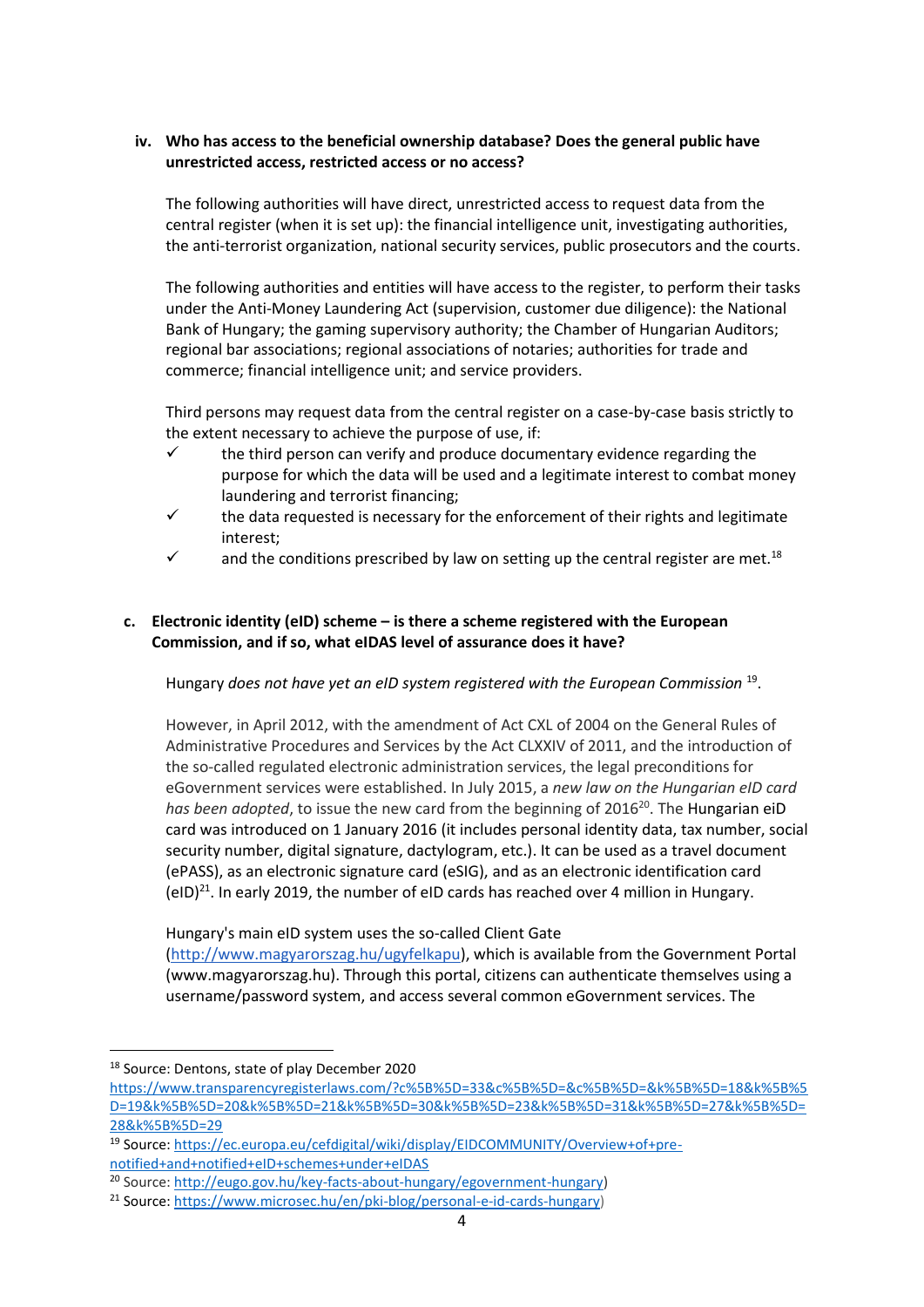# **iv. Who has access to the beneficial ownership database? Does the general public have unrestricted access, restricted access or no access?**

The following authorities will have direct, unrestricted access to request data from the central register (when it is set up): the financial intelligence unit, investigating authorities, the anti-terrorist organization, national security services, public prosecutors and the courts.

The following authorities and entities will have access to the register, to perform their tasks under the Anti-Money Laundering Act (supervision, customer due diligence): the National Bank of Hungary; the gaming supervisory authority; the Chamber of Hungarian Auditors; regional bar associations; regional associations of notaries; authorities for trade and commerce; financial intelligence unit; and service providers.

Third persons may request data from the central register on a case-by-case basis strictly to the extent necessary to achieve the purpose of use, if:

- $\checkmark$  the third person can verify and produce documentary evidence regarding the purpose for which the data will be used and a legitimate interest to combat money laundering and terrorist financing;
- $\checkmark$  the data requested is necessary for the enforcement of their rights and legitimate interest;
- $\checkmark$  and the conditions prescribed by law on setting up the central register are met.<sup>18</sup>

# **c. Electronic identity (eID) scheme – is there a scheme registered with the European Commission, and if so, what eIDAS level of assurance does it have?**

Hungary *does not have yet an eID system registered with the European Commission* <sup>19</sup> .

However, in April 2012, with the amendment of Act CXL of 2004 on the General Rules of Administrative Procedures and Services by the Act CLXXIV of 2011, and the introduction of the so-called regulated electronic administration services, the legal preconditions for eGovernment services were established. In July 2015, a *new law on the Hungarian eID card*  has been adopted, to issue the new card from the beginning of 2016<sup>20</sup>. The Hungarian eiD card was introduced on 1 January 2016 (it includes personal identity data, tax number, social security number, digital signature, dactylogram, etc.). It can be used as a travel document (ePASS), as an electronic signature card (eSIG), and as an electronic identification card  $(eID)^{21}$ . In early 2019, the number of eID cards has reached over 4 million in Hungary.

Hungary's main eID system uses the so-called Client Gate [\(http://www.magyarorszag.hu/ugyfelkapu\)](http://www.magyarorszag.hu/ugyfelkapu), which is available from the Government Portal (www.magyarorszag.hu). Through this portal, citizens can authenticate themselves using a username/password system, and access several common eGovernment services. The

<sup>18</sup> Source: Dentons, state of play December 2020

[https://www.transparencyregisterlaws.com/?c%5B%5D=33&c%5B%5D=&c%5B%5D=&k%5B%5D=18&k%5B%5](https://www.transparencyregisterlaws.com/?c%5B%5D=33&c%5B%5D=&c%5B%5D=&k%5B%5D=18&k%5B%5D=19&k%5B%5D=20&k%5B%5D=21&k%5B%5D=30&k%5B%5D=23&k%5B%5D=31&k%5B%5D=27&k%5B%5D=28&k%5B%5D=29) [D=19&k%5B%5D=20&k%5B%5D=21&k%5B%5D=30&k%5B%5D=23&k%5B%5D=31&k%5B%5D=27&k%5B%5D=](https://www.transparencyregisterlaws.com/?c%5B%5D=33&c%5B%5D=&c%5B%5D=&k%5B%5D=18&k%5B%5D=19&k%5B%5D=20&k%5B%5D=21&k%5B%5D=30&k%5B%5D=23&k%5B%5D=31&k%5B%5D=27&k%5B%5D=28&k%5B%5D=29) [28&k%5B%5D=29](https://www.transparencyregisterlaws.com/?c%5B%5D=33&c%5B%5D=&c%5B%5D=&k%5B%5D=18&k%5B%5D=19&k%5B%5D=20&k%5B%5D=21&k%5B%5D=30&k%5B%5D=23&k%5B%5D=31&k%5B%5D=27&k%5B%5D=28&k%5B%5D=29)

<sup>19</sup> Source: [https://ec.europa.eu/cefdigital/wiki/display/EIDCOMMUNITY/Overview+of+pre](https://ec.europa.eu/cefdigital/wiki/display/EIDCOMMUNITY/Overview+of+pre-notified+and+notified+eID+schemes+under+eIDAS)[notified+and+notified+eID+schemes+under+eIDAS](https://ec.europa.eu/cefdigital/wiki/display/EIDCOMMUNITY/Overview+of+pre-notified+and+notified+eID+schemes+under+eIDAS)

<sup>20</sup> Source: [http://eugo.gov.hu/key-facts-about-hungary/egovernment-hungary\)](http://eugo.gov.hu/key-facts-about-hungary/egovernment-hungary)

<sup>21</sup> Source: [https://www.microsec.hu/en/pki-blog/personal-e-id-cards-hungary\)](https://www.microsec.hu/en/pki-blog/personal-e-id-cards-hungary)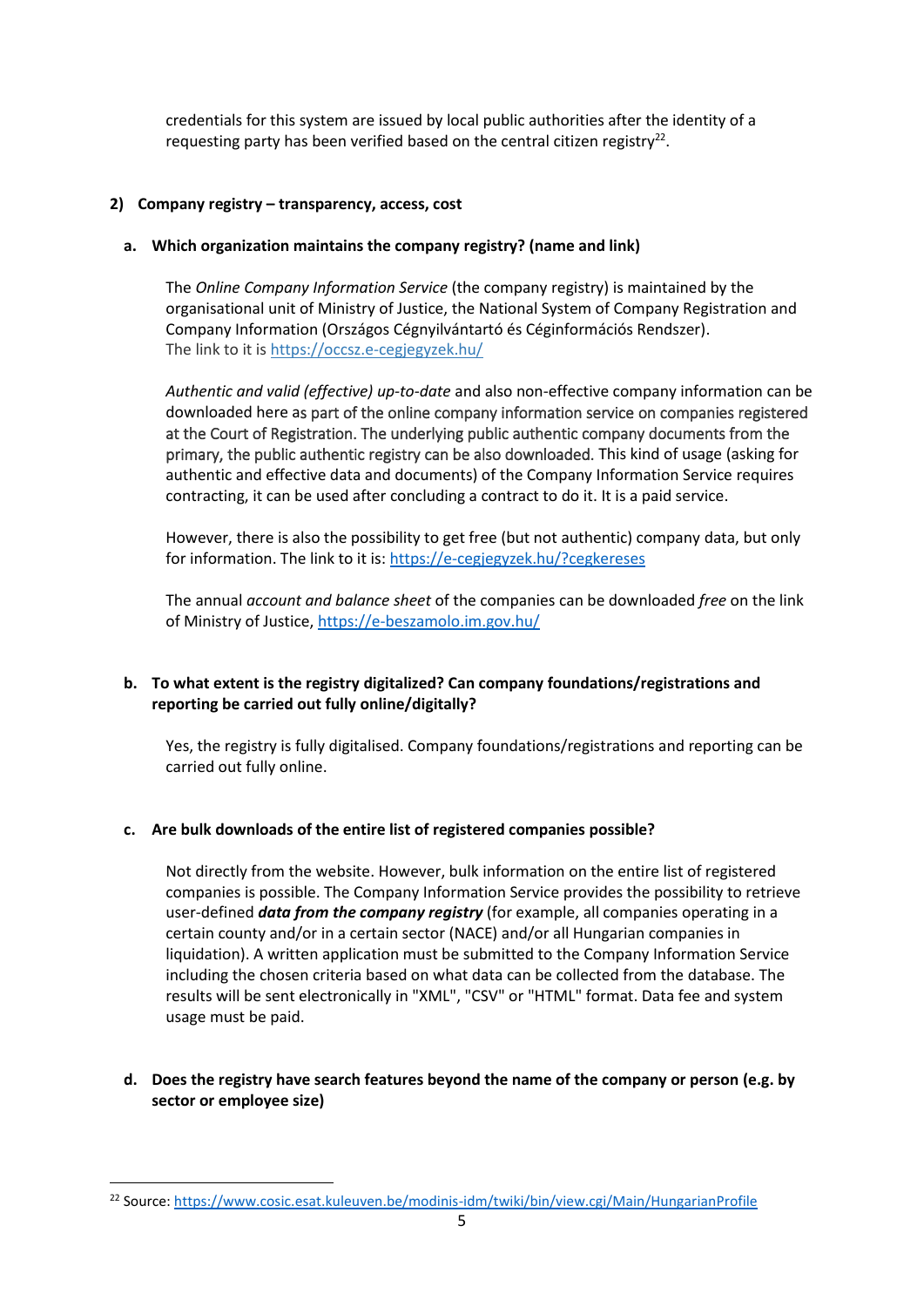credentials for this system are issued by local public authorities after the identity of a requesting party has been verified based on the central citizen registry<sup>22</sup>.

#### **2) Company registry – transparency, access, cost**

#### **a. Which organization maintains the company registry? (name and link)**

The *Online Company Information Service* (the company registry) is maintained by the organisational unit of Ministry of Justice, the National System of Company Registration and Company Information (Országos Cégnyilvántartó és Céginformációs Rendszer). The link to it is<https://occsz.e-cegjegyzek.hu/>

*Authentic and valid (effective) up-to-date* and also non-effective company information can be downloaded here as part of the online company information service on companies registered at the Court of Registration. The underlying public authentic company documents from the primary, the public authentic registry can be also downloaded. This kind of usage (asking for authentic and effective data and documents) of the Company Information Service requires contracting, it can be used after concluding a contract to do it. It is a paid service.

However, there is also the possibility to get free (but not authentic) company data, but only for information. The link to it is:<https://e-cegjegyzek.hu/?cegkereses>

The annual *account and balance sheet* of the companies can be downloaded *free* on the link of Ministry of Justice,<https://e-beszamolo.im.gov.hu/>

# **b. To what extent is the registry digitalized? Can company foundations/registrations and reporting be carried out fully online/digitally?**

Yes, the registry is fully digitalised. Company foundations/registrations and reporting can be carried out fully online.

#### **c. Are bulk downloads of the entire list of registered companies possible?**

Not directly from the website. However, bulk information on the entire list of registered companies is possible. The Company Information Service provides the possibility to retrieve user-defined *data from the company registry* (for example, all companies operating in a certain county and/or in a certain sector (NACE) and/or all Hungarian companies in liquidation). A written application must be submitted to the Company Information Service including the chosen criteria based on what data can be collected from the database. The results will be sent electronically in "XML", "CSV" or "HTML" format. Data fee and system usage must be paid.

# **d. Does the registry have search features beyond the name of the company or person (e.g. by sector or employee size)**

<sup>&</sup>lt;sup>22</sup> Source:<https://www.cosic.esat.kuleuven.be/modinis-idm/twiki/bin/view.cgi/Main/HungarianProfile>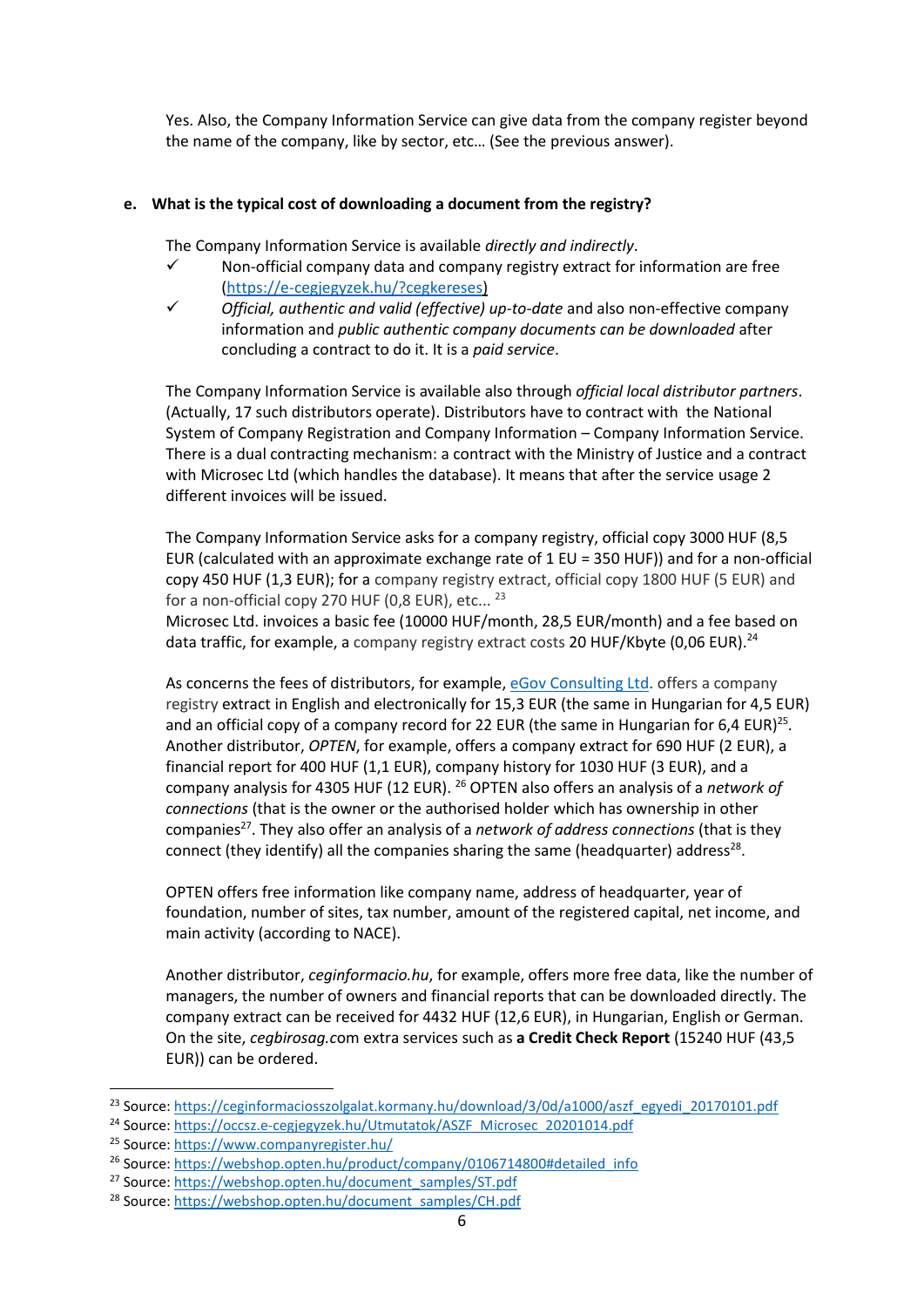Yes. Also, the Company Information Service can give data from the company register beyond the name of the company, like by sector, etc… (See the previous answer).

#### **e. What is the typical cost of downloading a document from the registry?**

The Company Information Service is available *directly and indirectly*.

- Non-official company data and company registry extract for information are free [\(https://e-cegjegyzek.hu/?cegkereses\)](https://e-cegjegyzek.hu/?cegkereses)
- ✓ *Official, authentic and valid (effective) up-to-date* and also non-effective company information and *public authentic company documents can be downloaded* after concluding a contract to do it. It is a *paid service*.

The Company Information Service is available also through *official local distributor partners*. (Actually, 17 such distributors operate). Distributors have to contract with the National System of Company Registration and Company Information – Company Information Service. There is a dual contracting mechanism: a contract with the Ministry of Justice and a contract with Microsec Ltd (which handles the database). It means that after the service usage 2 different invoices will be issued.

The Company Information Service asks for a company registry, official copy 3000 HUF (8,5 EUR (calculated with an approximate exchange rate of 1 EU = 350 HUF)) and for a non-official copy 450 HUF (1,3 EUR); for a company registry extract, official copy 1800 HUF (5 EUR) and for a non-official copy 270 HUF (0,8 EUR), etc...  $^{23}$ 

Microsec Ltd. invoices a basic fee (10000 HUF/month, 28,5 EUR/month) and a fee based on data traffic, for example, a company registry extract costs 20 HUF/Kbyte (0,06 EUR).<sup>24</sup>

As concerns the fees of distributors, for example, [eGov Consulting Ltd.](https://www.companyregister.hu/services/fees) offers a company registry extract in English and electronically for 15,3 EUR (the same in Hungarian for 4,5 EUR) and an official copy of a company record for 22 EUR (the same in Hungarian for 6,4 EUR)<sup>25</sup>. Another distributor, *OPTEN*, for example, offers a company extract for 690 HUF (2 EUR), a financial report for 400 HUF (1,1 EUR), company history for 1030 HUF (3 EUR), and a company analysis for 4305 HUF (12 EUR). <sup>26</sup> OPTEN also offers an analysis of a *network of connections* (that is the owner or the authorised holder which has ownership in other companies<sup>27</sup>. They also offer an analysis of a *network of address connections* (that is they connect (they identify) all the companies sharing the same (headquarter) address<sup>28</sup>.

OPTEN offers free information like company name, address of headquarter, year of foundation, number of sites, tax number, amount of the registered capital, net income, and main activity (according to NACE).

Another distributor, *ceginformacio.hu*, for example, offers more free data, like the number of managers, the number of owners and financial reports that can be downloaded directly. The company extract can be received for 4432 HUF (12,6 EUR), in Hungarian, English or German. On the site, *cegbirosag.c*om extra services such as **a Credit Check Report** (15240 HUF (43,5 EUR)) can be ordered.

<sup>&</sup>lt;sup>23</sup> Source: [https://ceginformaciosszolgalat.kormany.hu/download/3/0d/a1000/aszf\\_egyedi\\_20170101.pdf](https://ceginformaciosszolgalat.kormany.hu/download/3/0d/a1000/aszf_egyedi_20170101.pdf)

<sup>24</sup> Source: [https://occsz.e-cegjegyzek.hu/Utmutatok/ASZF\\_Microsec\\_20201014.pdf](https://occsz.e-cegjegyzek.hu/Utmutatok/ASZF_Microsec_20201014.pdf)

<sup>&</sup>lt;sup>25</sup> Source:<https://www.companyregister.hu/>

<sup>&</sup>lt;sup>26</sup> Source: [https://webshop.opten.hu/product/company/0106714800#detailed\\_info](https://webshop.opten.hu/product/company/0106714800#detailed_info)

<sup>&</sup>lt;sup>27</sup> Source: [https://webshop.opten.hu/document\\_samples/ST.pdf](https://webshop.opten.hu/document_samples/ST.pdf)

<sup>&</sup>lt;sup>28</sup> Source: [https://webshop.opten.hu/document\\_samples/CH.pdf](https://webshop.opten.hu/document_samples/CH.pdf)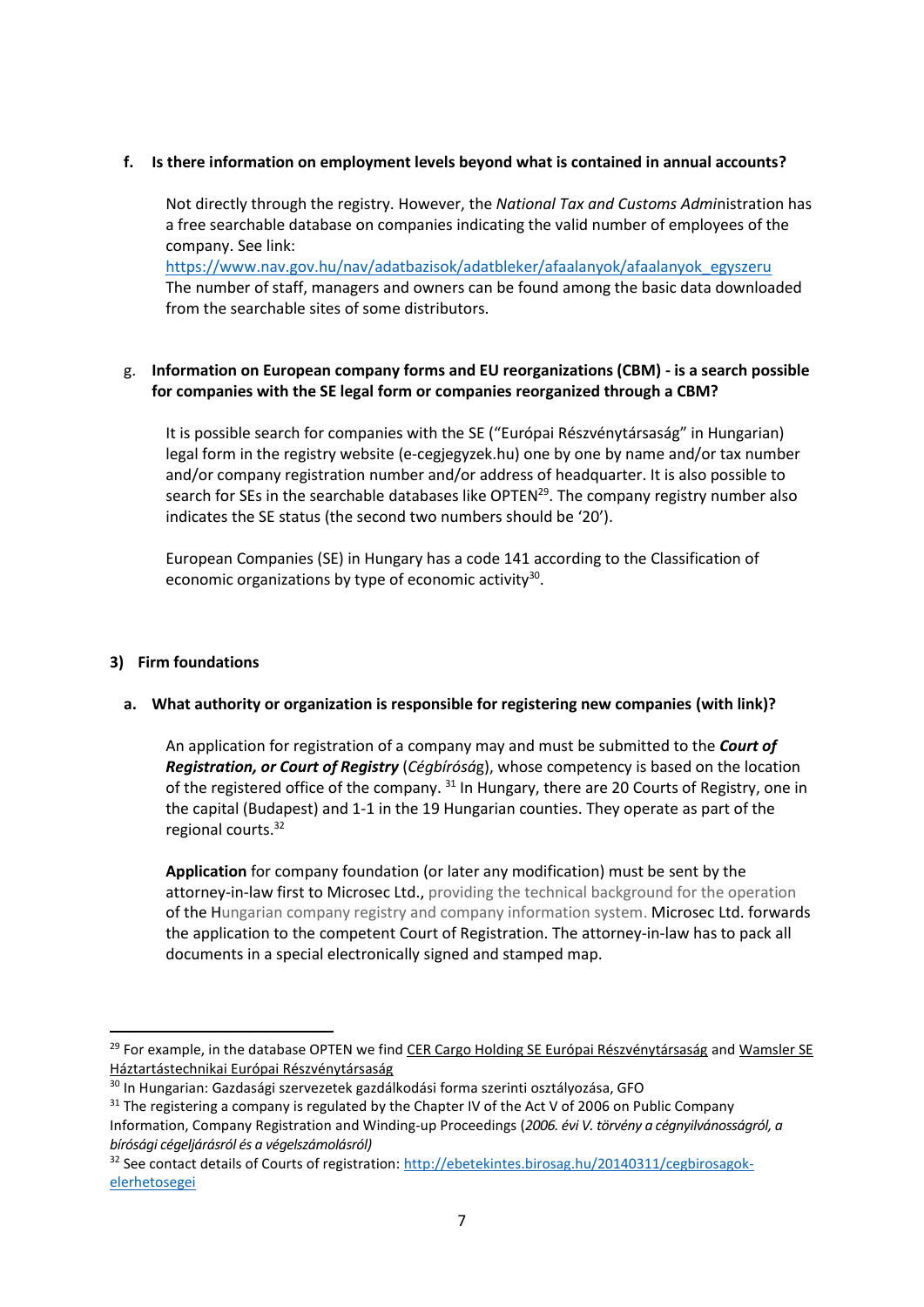#### **f. Is there information on employment levels beyond what is contained in annual accounts?**

Not directly through the registry. However, the *National Tax and Customs Admi*nistration has a free searchable database on companies indicating the valid number of employees of the company. See link:

[https://www.nav.gov.hu/nav/adatbazisok/adatbleker/afaalanyok/afaalanyok\\_egyszeru](https://www.nav.gov.hu/nav/adatbazisok/adatbleker/afaalanyok/afaalanyok_egyszeru) The number of staff, managers and owners can be found among the basic data downloaded from the searchable sites of some distributors.

# g. **Information on European company forms and EU reorganizations (CBM) - is a search possible for companies with the SE legal form or companies reorganized through a CBM?**

It is possible search for companies with the SE ("Európai Részvénytársaság" in Hungarian) legal form in the registry website (e-cegjegyzek.hu) one by one by name and/or tax number and/or company registration number and/or address of headquarter. It is also possible to search for SEs in the searchable databases like OPTEN $^{29}$ . The company registry number also indicates the SE status (the second two numbers should be '20').

European Companies (SE) in Hungary has a code 141 according to the Classification of economic organizations by type of economic activity $30$ .

# **3) Firm foundations**

# **a. What authority or organization is responsible for registering new companies (with link)?**

An application for registration of a company may and must be submitted to the *Court of Registration, or Court of Registry* (*Cégbírósá*g), whose competency is based on the location of the registered office of the company. <sup>31</sup> In Hungary, there are 20 Courts of Registry, one in the capital (Budapest) and 1-1 in the 19 Hungarian counties. They operate as part of the regional courts. 32

**Application** for company foundation (or later any modification) must be sent by the attorney-in-law first to Microsec Ltd., providing the technical background for the operation of the Hungarian company registry and company information system. Microsec Ltd. forwards the application to the competent Court of Registration. The attorney-in-law has to pack all documents in a special electronically signed and stamped map.

<sup>&</sup>lt;sup>29</sup> For example, in the database OPTEN we find [CER Cargo Holding SE Európai Részvénytársaság](https://www.opten.hu/cer-cargo-holding-se-c0120000004.html) and Wamsler SE [Háztartástechnikai Európai Részvénytársaság](https://www.opten.hu/wamsler-se-c1220000001.html)

<sup>30</sup> In Hungarian: Gazdasági szervezetek gazdálkodási forma szerinti osztályozása, GFO

<sup>&</sup>lt;sup>31</sup> The registering a company is regulated by the Chapter IV of the Act V of 2006 on Public Company Information, Company Registration and Winding-up Proceedings (*2006. évi V. törvény a cégnyilvánosságról, a bírósági cégeljárásról és a végelszámolásról)*

<sup>&</sup>lt;sup>32</sup> See contact details of Courts of registration: [http://ebetekintes.birosag.hu/20140311/cegbirosagok](http://ebetekintes.birosag.hu/20140311/cegbirosagok-elerhetosegei)[elerhetosegei](http://ebetekintes.birosag.hu/20140311/cegbirosagok-elerhetosegei)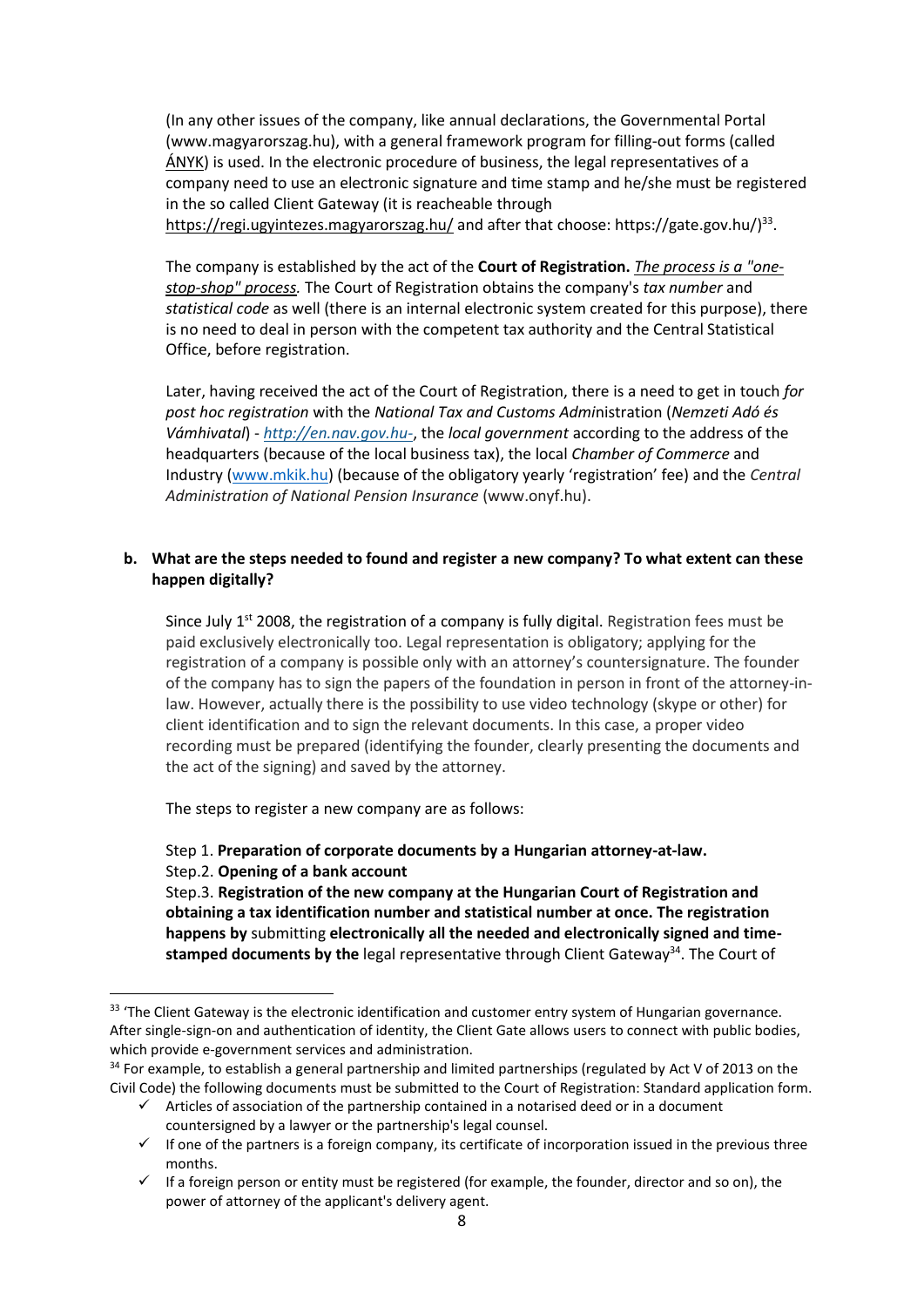(In any other issues of the company, like annual declarations, the Governmental Portal (www.magyarorszag.hu), with a general framework program for filling-out forms (called [ÁNYK\)](https://ugyintezes.magyarorszag.hu/szolgaltatasok/adonyomtatvany.html) is used. In the electronic procedure of business, the legal representatives of a company need to use an electronic signature and time stamp and he/she must be registered in the so called Client Gateway (it is reacheable through <https://regi.ugyintezes.magyarorszag.hu/> and after that choose: https://gate.gov.hu/)<sup>33</sup>.

The company is established by the act of the **Court of Registration.** *The process is a "onestop-shop" process.* The Court of Registration obtains the company's *tax number* and *statistical code* as well (there is an internal electronic system created for this purpose), there is no need to deal in person with the competent tax authority and the Central Statistical Office, before registration.

Later, having received the act of the Court of Registration, there is a need to get in touch *for post hoc registration* with the *National Tax and Customs Admi*nistration (*Nemzeti Adó és Vámhivatal*) - *[http://en.nav.gov.hu-](http://en.nav.gov.hu/)*, the *local government* according to the address of the headquarters (because of the local business tax), the local *Chamber of Commerce* and Industry [\(www.mkik.hu\)](http://www.mkik.hu/) (because of the obligatory yearly 'registration' fee) and the *Central Administration of National Pension Insurance* (www.onyf.hu).

# **b. What are the steps needed to found and register a new company? To what extent can these happen digitally?**

Since July  $1<sup>st</sup>$  2008, the registration of a company is fully digital. Registration fees must be paid exclusively electronically too. Legal representation is obligatory; applying for the registration of a company is possible only with an attorney's countersignature. The founder of the company has to sign the papers of the foundation in person in front of the attorney-inlaw. However, actually there is the possibility to use video technology (skype or other) for client identification and to sign the relevant documents. In this case, a proper video recording must be prepared (identifying the founder, clearly presenting the documents and the act of the signing) and saved by the attorney.

The steps to register a new company are as follows:

# Step 1. **Preparation of corporate documents by a Hungarian attorney-at-law.**

#### Step.2. **Opening of a bank account**

Step.3. **Registration of the new company at the Hungarian Court of Registration and obtaining a tax identification number and statistical number at once. The registration happens by** submitting **electronically all the needed and electronically signed and timestamped documents by the** legal representative through Client Gateway<sup>34</sup>. The Court of

<sup>&</sup>lt;sup>33</sup> 'The Client Gateway is the electronic identification and customer entry system of Hungarian governance. After single-sign-on and authentication of identity, the Client Gate allows users to connect with public bodies, which provide e-government services and administration.

<sup>&</sup>lt;sup>34</sup> For example, to establish a general partnership and limited partnerships (regulated by Act V of 2013 on the Civil Code) the following documents must be submitted to the Court of Registration: Standard application form.

 $\checkmark$  Articles of association of the partnership contained in a notarised deed or in a document countersigned by a lawyer or the partnership's legal counsel.

<sup>✓</sup> If one of the partners is a foreign company, its certificate of incorporation issued in the previous three months.

<sup>✓</sup> If a foreign person or entity must be registered (for example, the founder, director and so on), the power of attorney of the applicant's delivery agent.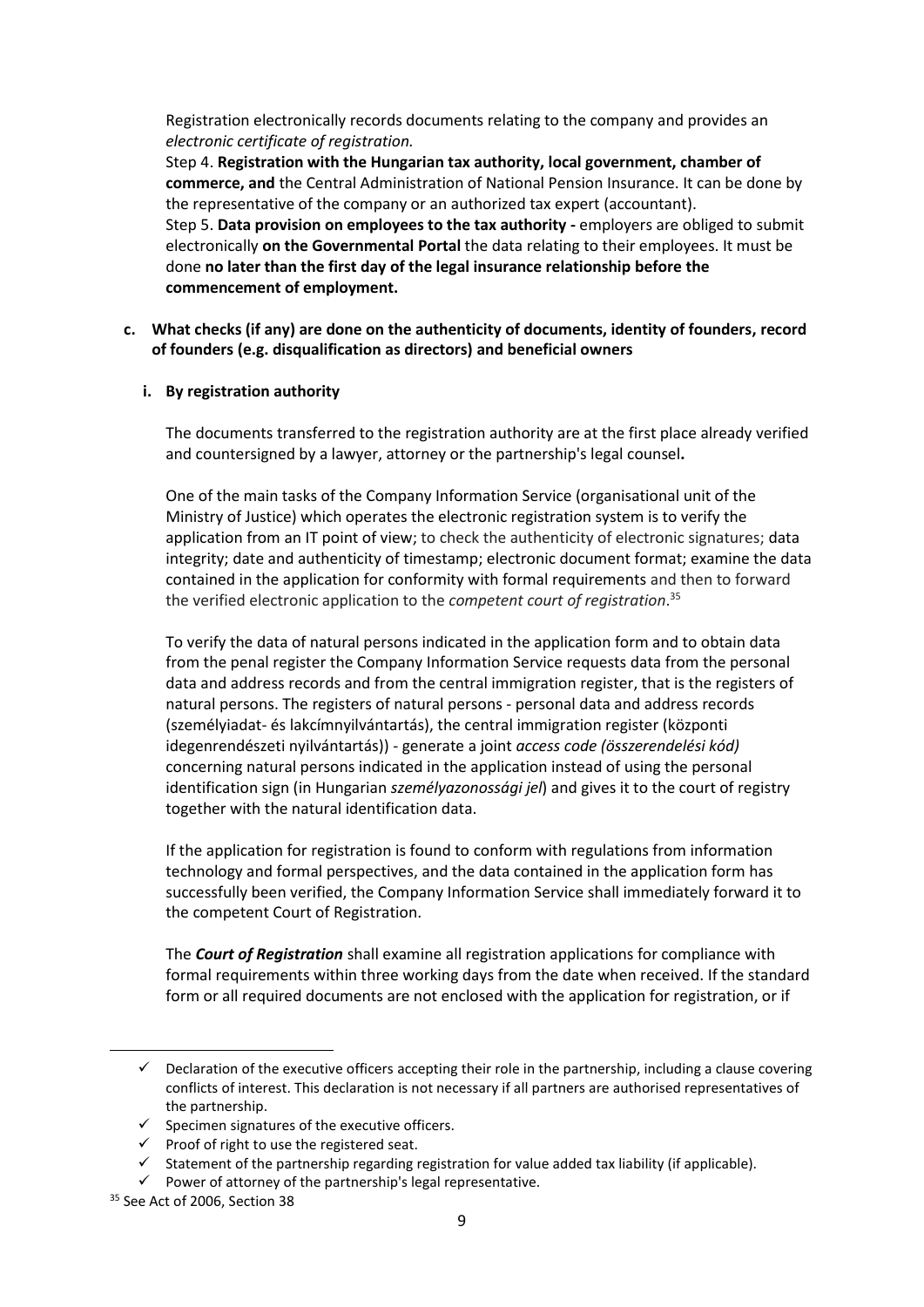Registration electronically records documents relating to the company and provides an *electronic certificate of registration.*

Step 4. **Registration with the Hungarian tax authority, local government, chamber of commerce, and** the Central Administration of National Pension Insurance. It can be done by the representative of the company or an authorized tax expert (accountant). Step 5. **Data provision on employees to the tax authority -** employers are obliged to submit electronically **on the Governmental Portal** the data relating to their employees. It must be done **no later than the first day of the legal insurance relationship before the commencement of employment.**

**c. What checks (if any) are done on the authenticity of documents, identity of founders, record of founders (e.g. disqualification as directors) and beneficial owners**

#### **i. By registration authority**

The documents transferred to the registration authority are at the first place already verified and countersigned by a lawyer, attorney or the partnership's legal counsel**.**

One of the main tasks of the Company Information Service (organisational unit of the Ministry of Justice) which operates the electronic registration system is to verify the application from an IT point of view; to check the authenticity of electronic signatures; data integrity; date and authenticity of timestamp; electronic document format; examine the data contained in the application for conformity with formal requirements and then to forward the verified electronic application to the *competent court of registration*. 35

To verify the data of natural persons indicated in the application form and to obtain data from the penal register the Company Information Service requests data from the personal data and address records and from the central immigration register, that is the registers of natural persons. The registers of natural persons - personal data and address records (személyiadat- és lakcímnyilvántartás), the central immigration register (központi idegenrendészeti nyilvántartás)) - generate a joint *access code (összerendelési kód)*  concerning natural persons indicated in the application instead of using the personal identification sign (in Hungarian *személyazonossági jel*) and gives it to the court of registry together with the natural identification data.

If the application for registration is found to conform with regulations from information technology and formal perspectives, and the data contained in the application form has successfully been verified, the Company Information Service shall immediately forward it to the competent Court of Registration.

The *Court of Registration* shall examine all registration applications for compliance with formal requirements within three working days from the date when received. If the standard form or all required documents are not enclosed with the application for registration, or if

<sup>✓</sup> Declaration of the executive officers accepting their role in the partnership, including a clause covering conflicts of interest. This declaration is not necessary if all partners are authorised representatives of the partnership.

 $\checkmark$  Specimen signatures of the executive officers.

<sup>✓</sup> Proof of right to use the registered seat.

 $\checkmark$  Statement of the partnership regarding registration for value added tax liability (if applicable).

<sup>✓</sup> Power of attorney of the partnership's legal representative.

<sup>&</sup>lt;sup>35</sup> See Act of 2006, Section 38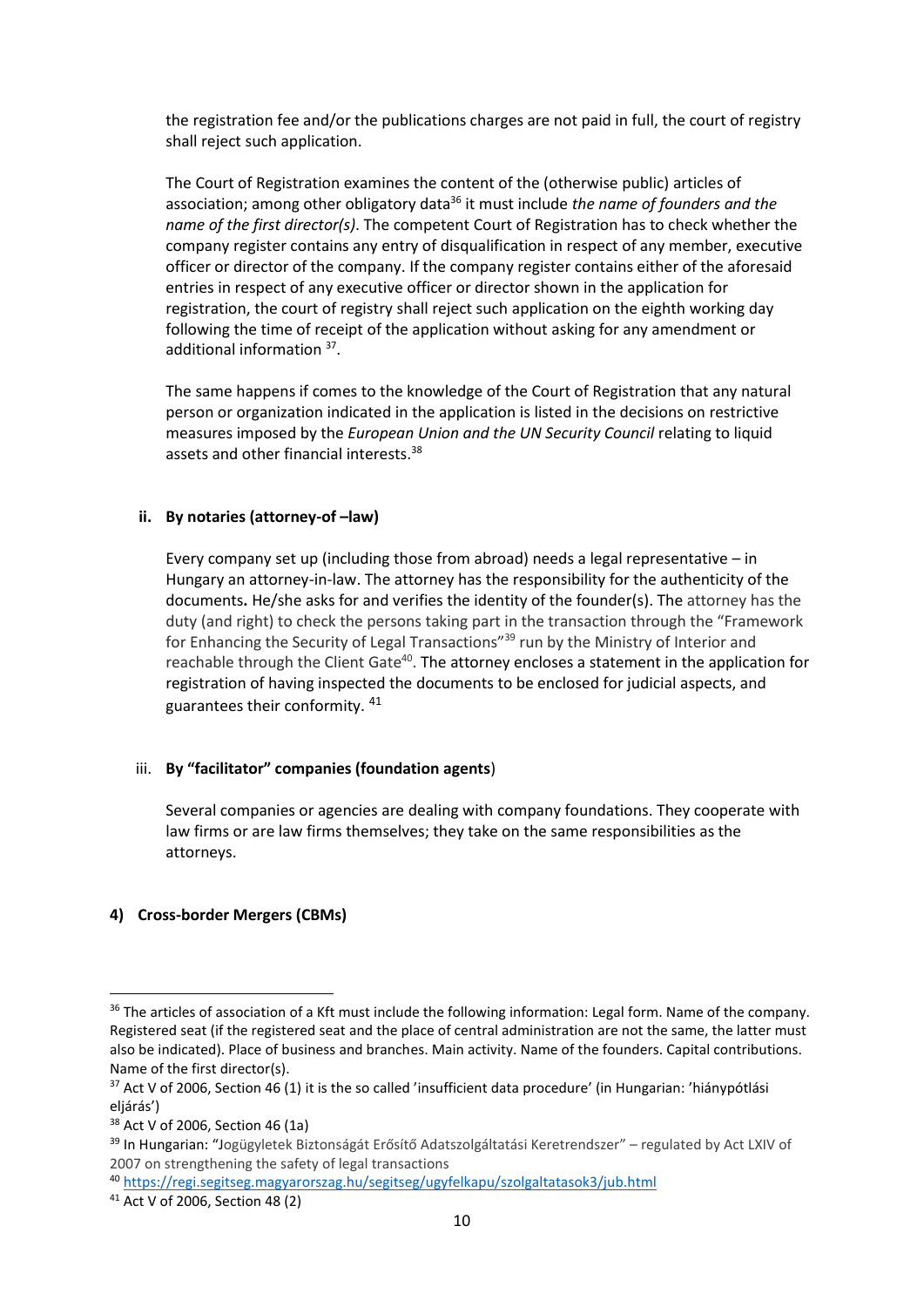the registration fee and/or the publications charges are not paid in full, the court of registry shall reject such application.

The Court of Registration examines the content of the (otherwise public) articles of association; among other obligatory data<sup>36</sup> it must include *the name of founders and the name of the first director(s)*. The competent Court of Registration has to check whether the company register contains any entry of disqualification in respect of any member, executive officer or director of the company. If the company register contains either of the aforesaid entries in respect of any executive officer or director shown in the application for registration, the court of registry shall reject such application on the eighth working day following the time of receipt of the application without asking for any amendment or additional information <sup>37</sup>.

The same happens if comes to the knowledge of the Court of Registration that any natural person or organization indicated in the application is listed in the decisions on restrictive measures imposed by the *European Union and the UN Security Council* relating to liquid assets and other financial interests.<sup>38</sup>

#### **ii. By notaries (attorney-of –law)**

Every company set up (including those from abroad) needs a legal representative – in Hungary an attorney-in-law. The attorney has the responsibility for the authenticity of the documents**.** He/she asks for and verifies the identity of the founder(s). The attorney has the duty (and right) to check the persons taking part in the transaction through the "Framework for Enhancing the Security of Legal Transactions<sup>"39</sup> run by the Ministry of Interior and reachable through the Client Gate<sup>40</sup>. The attorney encloses a statement in the application for registration of having inspected the documents to be enclosed for judicial aspects, and guarantees their conformity. <sup>41</sup>

#### iii. **By "facilitator" companies (foundation agents**)

Several companies or agencies are dealing with company foundations. They cooperate with law firms or are law firms themselves; they take on the same responsibilities as the attorneys.

# **4) Cross-border Mergers (CBMs)**

<sup>&</sup>lt;sup>36</sup> The articles of association of a Kft must include the following information: Legal form. Name of the company. Registered seat (if the registered seat and the place of central administration are not the same, the latter must also be indicated). Place of business and branches. Main activity. Name of the founders. Capital contributions. Name of the first director(s).

<sup>37</sup> Act V of 2006, Section 46 (1) it is the so called 'insufficient data procedure' (in Hungarian: 'hiánypótlási eljárás')

<sup>38</sup> Act V of 2006, Section 46 (1a)

<sup>&</sup>lt;sup>39</sup> In Hungarian: "Jogügyletek Biztonságát Erősítő Adatszolgáltatási Keretrendszer" – regulated by Act LXIV of 2007 on strengthening the safety of legal transactions

<sup>40</sup> <https://regi.segitseg.magyarorszag.hu/segitseg/ugyfelkapu/szolgaltatasok3/jub.html>

<sup>41</sup> Act V of 2006, Section 48 (2)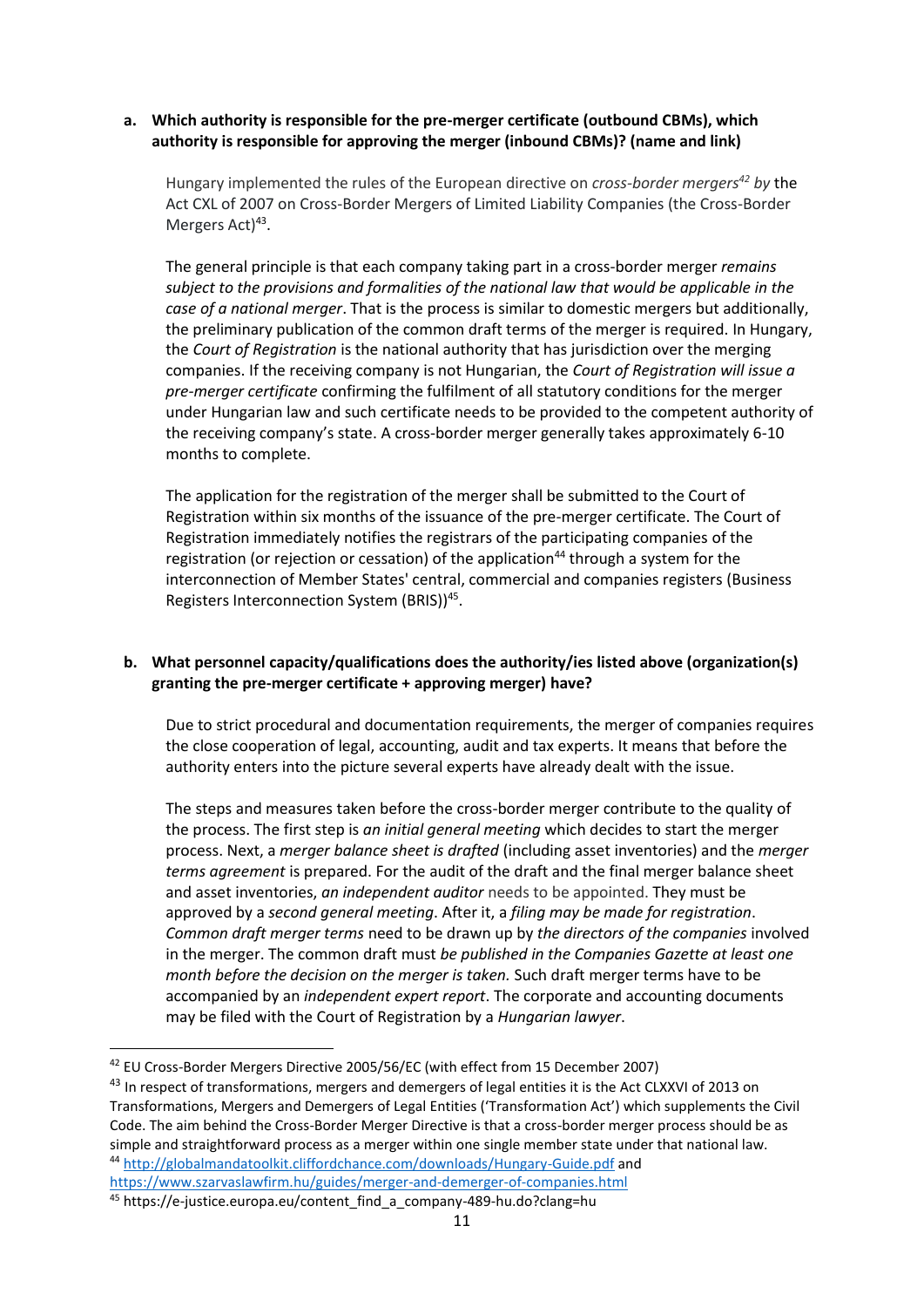#### **a. Which authority is responsible for the pre-merger certificate (outbound CBMs), which authority is responsible for approving the merger (inbound CBMs)? (name and link)**

Hungary implemented the rules of the European directive on *cross-border mergers<sup>42</sup> by* the Act CXL of 2007 on Cross-Border Mergers of Limited Liability Companies (the Cross-Border Mergers Act)<sup>43</sup>.

The general principle is that each company taking part in a cross-border merger *remains subject to the provisions and formalities of the national law that would be applicable in the case of a national merger*. That is the process is similar to domestic mergers but additionally, the preliminary publication of the common draft terms of the merger is required. In Hungary, the *Court of Registration* is the national authority that has jurisdiction over the merging companies. If the receiving company is not Hungarian, the *Court of Registration will issue a pre-merger certificate* confirming the fulfilment of all statutory conditions for the merger under Hungarian law and such certificate needs to be provided to the competent authority of the receiving company's state. A cross-border merger generally takes approximately 6-10 months to complete.

The application for the registration of the merger shall be submitted to the Court of Registration within six months of the issuance of the pre-merger certificate. The Court of Registration immediately notifies the registrars of the participating companies of the registration (or rejection or cessation) of the application<sup>44</sup> through a system for the interconnection of Member States' central, commercial and companies registers (Business Registers Interconnection System (BRIS))<sup>45</sup>.

# **b. What personnel capacity/qualifications does the authority/ies listed above (organization(s) granting the pre-merger certificate + approving merger) have?**

Due to strict procedural and documentation requirements, the merger of companies requires the close cooperation of legal, accounting, audit and tax experts. It means that before the authority enters into the picture several experts have already dealt with the issue.

The steps and measures taken before the cross-border merger contribute to the quality of the process. The first step is *an initial general meeting* which decides to start the merger process. Next, a *merger balance sheet is drafted* (including asset inventories) and the *merger terms agreement* is prepared. For the audit of the draft and the final merger balance sheet and asset inventories, *an independent auditor* needs to be appointed. They must be approved by a *second general meeting*. After it, a *filing may be made for registration*. *Common draft merger terms* need to be drawn up by *the directors of the companies* involved in the merger. The common draft must *be published in the Companies Gazette at least one month before the decision on the merger is taken.* Such draft merger terms have to be accompanied by an *independent expert report*. The corporate and accounting documents may be filed with the Court of Registration by a *Hungarian lawyer*.

<sup>42</sup> EU Cross-Border Mergers Directive 2005/56/EC (with effect from 15 December 2007)

<sup>43</sup> In respect of transformations, mergers and demergers of legal entities it is the Act CLXXVI of 2013 on Transformations, Mergers and Demergers of Legal Entities ('Transformation Act') which supplements the Civil Code. The aim behind the Cross-Border Merger Directive is that a cross-border merger process should be as simple and straightforward process as a merger within one single member state under that national law. <sup>44</sup> <http://globalmandatoolkit.cliffordchance.com/downloads/Hungary-Guide.pdf> and <https://www.szarvaslawfirm.hu/guides/merger-and-demerger-of-companies.html>

<sup>45</sup> https://e-justice.europa.eu/content\_find\_a\_company-489-hu.do?clang=hu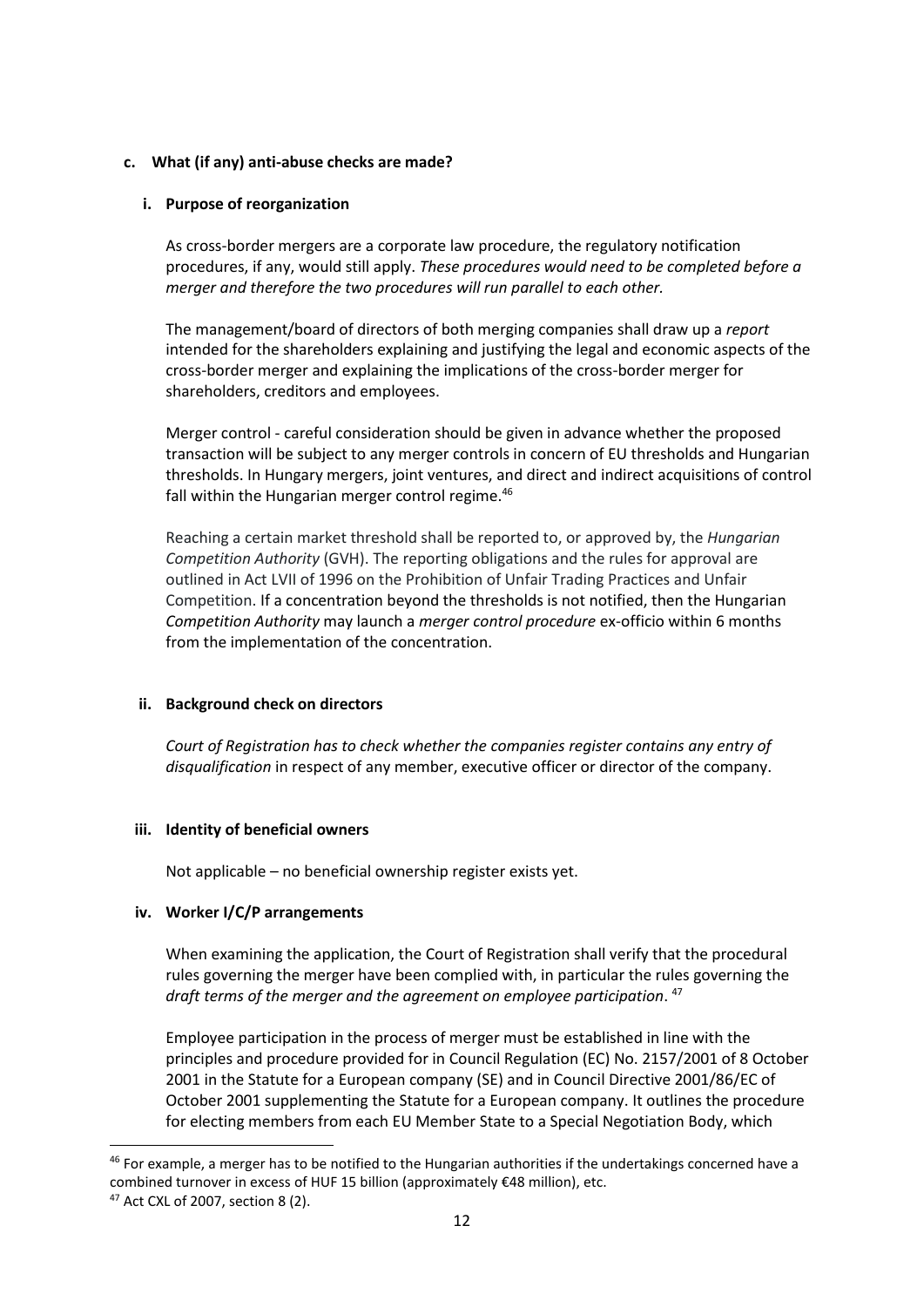#### **c. What (if any) anti-abuse checks are made?**

#### **i. Purpose of reorganization**

As cross-border mergers are a corporate law procedure, the regulatory notification procedures, if any, would still apply. *These procedures would need to be completed before a merger and therefore the two procedures will run parallel to each other.*

The management/board of directors of both merging companies shall draw up a *report*  intended for the shareholders explaining and justifying the legal and economic aspects of the cross-border merger and explaining the implications of the cross-border merger for shareholders, creditors and employees.

Merger control - careful consideration should be given in advance whether the proposed transaction will be subject to any merger controls in concern of EU thresholds and Hungarian thresholds. In Hungary mergers, joint ventures, and direct and indirect acquisitions of control fall within the Hungarian merger control regime.<sup>46</sup>

Reaching a certain market threshold shall be reported to, or approved by, the *Hungarian Competition Authority* (GVH). The reporting obligations and the rules for approval are outlined in Act LVII of 1996 on the Prohibition of Unfair Trading Practices and Unfair Competition. If a concentration beyond the thresholds is not notified, then the Hungarian *Competition Authority* may launch a *merger control procedure* ex-officio within 6 months from the implementation of the concentration.

# **ii. Background check on directors**

*Court of Registration has to check whether the companies register contains any entry of disqualification* in respect of any member, executive officer or director of the company.

# **iii. Identity of beneficial owners**

Not applicable – no beneficial ownership register exists yet.

#### **iv. Worker I/C/P arrangements**

When examining the application, the Court of Registration shall verify that the procedural rules governing the merger have been complied with, in particular the rules governing the *draft terms of the merger and the agreement on employee participation*. 47

Employee participation in the process of merger must be established in line with the principles and procedure provided for in Council Regulation (EC) No. 2157/2001 of 8 October 2001 in the Statute for a European company (SE) and in Council Directive 2001/86/EC of October 2001 supplementing the Statute for a European company. It outlines the procedure for electing members from each EU Member State to a Special Negotiation Body, which

<sup>&</sup>lt;sup>46</sup> For example, a merger has to be notified to the Hungarian authorities if the undertakings concerned have a combined turnover in excess of HUF 15 billion (approximately €48 million), etc.

<sup>47</sup> Act CXL of 2007, section 8 (2).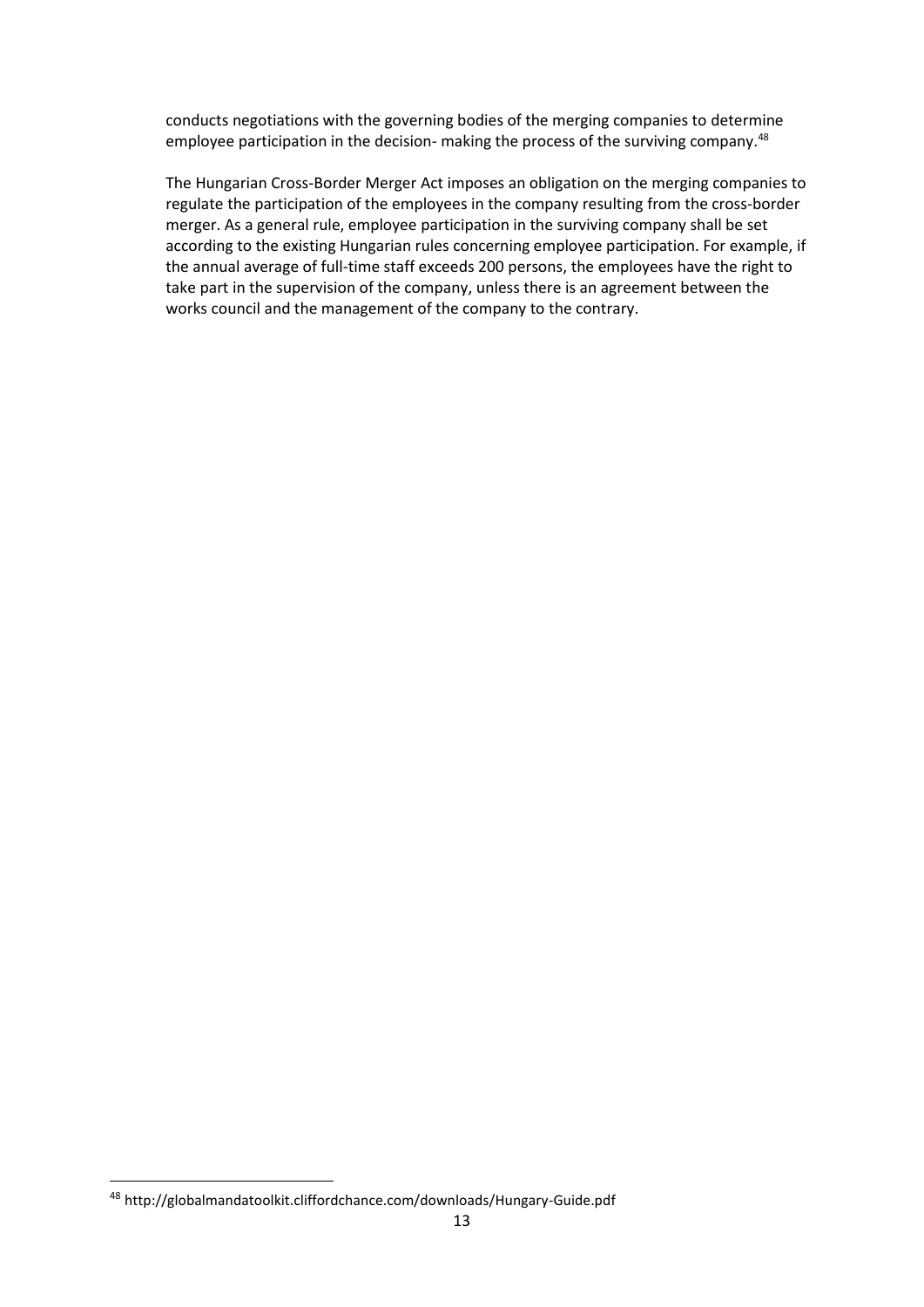conducts negotiations with the governing bodies of the merging companies to determine employee participation in the decision- making the process of the surviving company.<sup>48</sup>

The Hungarian Cross-Border Merger Act imposes an obligation on the merging companies to regulate the participation of the employees in the company resulting from the cross-border merger. As a general rule, employee participation in the surviving company shall be set according to the existing Hungarian rules concerning employee participation. For example, if the annual average of full-time staff exceeds 200 persons, the employees have the right to take part in the supervision of the company, unless there is an agreement between the works council and the management of the company to the contrary.

<sup>48</sup> http://globalmandatoolkit.cliffordchance.com/downloads/Hungary-Guide.pdf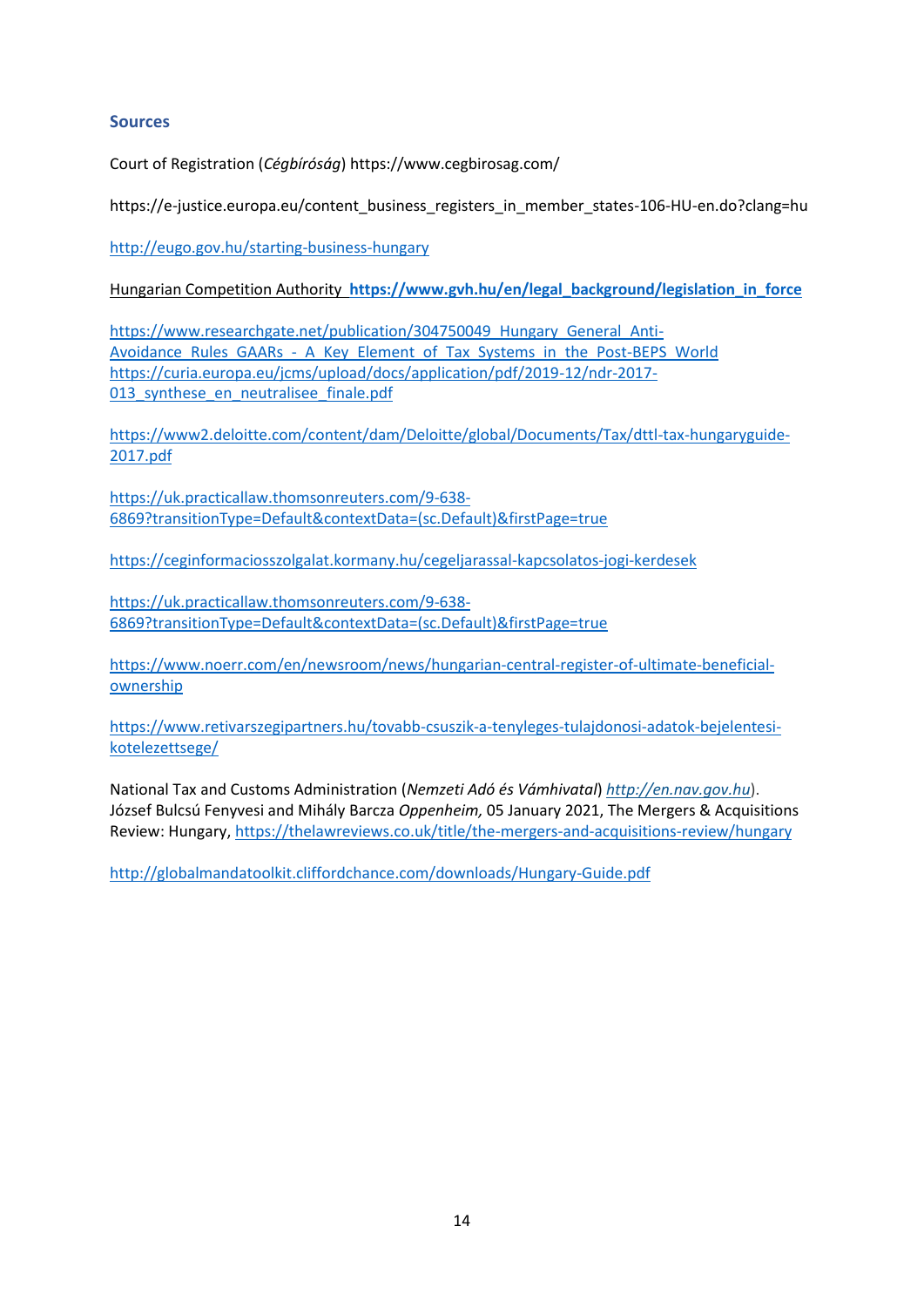#### **Sources**

Court of Registration (*Cégbíróság*) https://www.cegbirosag.com/

https://e-justice.europa.eu/content\_business\_registers\_in\_member\_states-106-HU-en.do?clang=hu

<http://eugo.gov.hu/starting-business-hungary>

Hungarian Competition Authority **[https://www.gvh.hu/en/legal\\_background/legislation\\_in\\_force](https://www.gvh.hu/en/legal_background/legislation_in_force)**

https://www.researchgate.net/publication/304750049 Hungary General Anti-[Avoidance\\_Rules\\_GAARs\\_-\\_A\\_Key\\_Element\\_of\\_Tax\\_Systems\\_in\\_the\\_Post-BEPS\\_World](https://www.researchgate.net/publication/304750049_Hungary_General_Anti-Avoidance_Rules_GAARs_-_A_Key_Element_of_Tax_Systems_in_the_Post-BEPS_World) [https://curia.europa.eu/jcms/upload/docs/application/pdf/2019-12/ndr-2017-](https://curia.europa.eu/jcms/upload/docs/application/pdf/2019-12/ndr-2017-013_synthese_en_neutralisee_finale.pdf) [013\\_synthese\\_en\\_neutralisee\\_finale.pdf](https://curia.europa.eu/jcms/upload/docs/application/pdf/2019-12/ndr-2017-013_synthese_en_neutralisee_finale.pdf)

[https://www2.deloitte.com/content/dam/Deloitte/global/Documents/Tax/dttl-tax-hungaryguide-](https://www2.deloitte.com/content/dam/Deloitte/global/Documents/Tax/dttl-tax-hungaryguide-2017.pdf)[2017.pdf](https://www2.deloitte.com/content/dam/Deloitte/global/Documents/Tax/dttl-tax-hungaryguide-2017.pdf)

[https://uk.practicallaw.thomsonreuters.com/9-638-](https://uk.practicallaw.thomsonreuters.com/9-638-6869?transitionType=Default&contextData=(sc.Default)&firstPage=true) [6869?transitionType=Default&contextData=\(sc.Default\)&firstPage=true](https://uk.practicallaw.thomsonreuters.com/9-638-6869?transitionType=Default&contextData=(sc.Default)&firstPage=true)

<https://ceginformaciosszolgalat.kormany.hu/cegeljarassal-kapcsolatos-jogi-kerdesek>

[https://uk.practicallaw.thomsonreuters.com/9-638-](https://uk.practicallaw.thomsonreuters.com/9-638-6869?transitionType=Default&contextData=(sc.Default)&firstPage=true) [6869?transitionType=Default&contextData=\(sc.Default\)&firstPage=true](https://uk.practicallaw.thomsonreuters.com/9-638-6869?transitionType=Default&contextData=(sc.Default)&firstPage=true)

[https://www.noerr.com/en/newsroom/news/hungarian-central-register-of-ultimate-beneficial](https://www.noerr.com/en/newsroom/news/hungarian-central-register-of-ultimate-beneficial-ownership)[ownership](https://www.noerr.com/en/newsroom/news/hungarian-central-register-of-ultimate-beneficial-ownership)

[https://www.retivarszegipartners.hu/tovabb-csuszik-a-tenyleges-tulajdonosi-adatok-bejelentesi](https://www.retivarszegipartners.hu/tovabb-csuszik-a-tenyleges-tulajdonosi-adatok-bejelentesi-kotelezettsege/)[kotelezettsege/](https://www.retivarszegipartners.hu/tovabb-csuszik-a-tenyleges-tulajdonosi-adatok-bejelentesi-kotelezettsege/)

National Tax and Customs Administration (*Nemzeti Adó és Vámhivatal*) *[http://en.nav.gov.hu](http://en.nav.gov.hu/)*). [József Bulcsú Fenyvesi](https://thelawreviews.co.uk/authors/J_zsef_Bulcs_Fenyvesi) and [Mihály Barcza](https://thelawreviews.co.uk/authors/Mih_ly_Barcza) *[Oppenheim,](https://thelawreviews.co.uk/organisation/1049734)* 05 January 2021, The Mergers & Acquisitions Review: Hungary[, https://thelawreviews.co.uk/title/the-mergers-and-acquisitions-review/hungary](https://thelawreviews.co.uk/title/the-mergers-and-acquisitions-review/hungary)

<http://globalmandatoolkit.cliffordchance.com/downloads/Hungary-Guide.pdf>